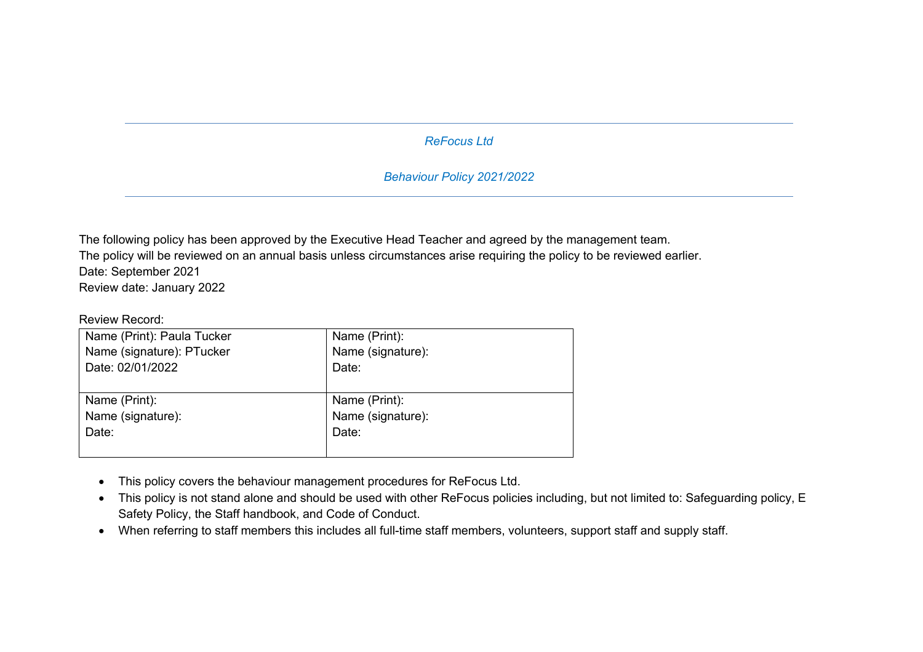# *ReFocus Ltd*

# *Behaviour Policy 2021/2022*

The following policy has been approved by the Executive Head Teacher and agreed by the management team. The policy will be reviewed on an annual basis unless circumstances arise requiring the policy to be reviewed earlier. Date: September 2021 Review date: January 2022

Review Record:

| Name (Print):     |
|-------------------|
| Name (signature): |
| Date:             |
|                   |
| Name (Print):     |
| Name (signature): |
| Date:             |
|                   |
|                   |

- This policy covers the behaviour management procedures for ReFocus Ltd.
- This policy is not stand alone and should be used with other ReFocus policies including, but not limited to: Safeguarding policy, E Safety Policy, the Staff handbook, and Code of Conduct.
- When referring to staff members this includes all full-time staff members, volunteers, support staff and supply staff.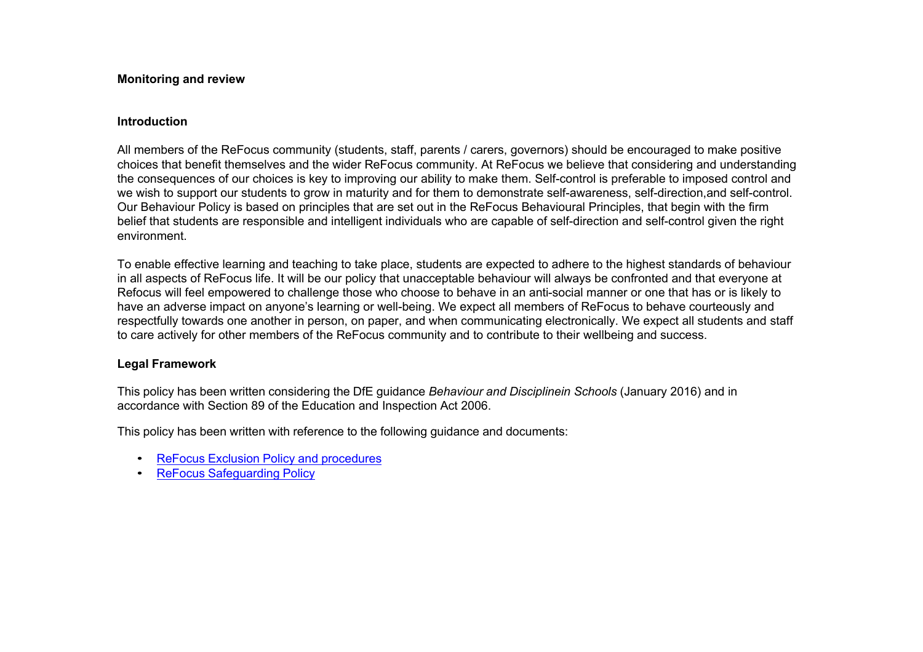#### **Monitoring and review**

#### **Introduction**

All members of the ReFocus community (students, staff, parents / carers, governors) should be encouraged to make positive choices that benefit themselves and the wider ReFocus community. At ReFocus we believe that considering and understanding the consequences of our choices is key to improving our ability to make them. Self-control is preferable to imposed control and we wish to support our students to grow in maturity and for them to demonstrate self-awareness, self-direction,and self-control. Our Behaviour Policy is based on principles that are set out in the ReFocus Behavioural Principles, that begin with the firm belief that students are responsible and intelligent individuals who are capable of self-direction and self-control given the right environment.

To enable effective learning and teaching to take place, students are expected to adhere to the highest standards of behaviour in all aspects of ReFocus life. It will be our policy that unacceptable behaviour will always be confronted and that everyone at Refocus will feel empowered to challenge those who choose to behave in an anti-social manner or one that has or is likely to have an adverse impact on anyone's learning or well-being. We expect all members of ReFocus to behave courteously and respectfully towards one another in person, on paper, and when communicating electronically. We expect all students and staff to care actively for other members of the ReFocus community and to contribute to their wellbeing and success.

# **Legal Framework**

This policy has been written considering the DfE guidance *Behaviour and Disciplinein Schools* (January 2016) and in accordance with Section 89 of the Education and Inspection Act 2006.

This policy has been written with reference to the following guidance and documents:

- ReFocus Exclusion Policy and procedures
- ReFocus Safequarding Policy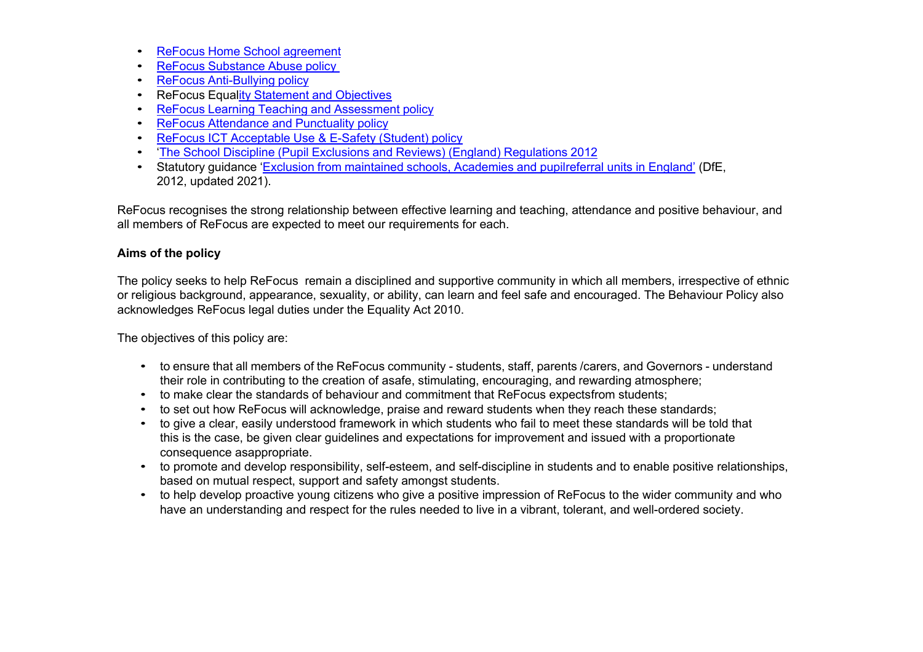- ReFocus Home School agreement
- ReFocus Substance Abuse policy
- ReFocus Anti-Bullying policy
- ReFocus Equality Statement and Objectives
- ReFocus Learning Teaching and Assessment policy
- ReFocus Attendance and Punctuality policy
- ReFocus ICT Acceptable Use & E-Safety (Student) policy
- 'The School Discipline (Pupil Exclusions and Reviews) (England) Regulations 2012
- Statutory guidance 'Exclusion from maintained schools, Academies and pupilreferral units in England' (DfE, 2012, updated 2021).

ReFocus recognises the strong relationship between effective learning and teaching, attendance and positive behaviour, and all members of ReFocus are expected to meet our requirements for each.

# **Aims of the policy**

The policy seeks to help ReFocus remain a disciplined and supportive community in which all members, irrespective of ethnic or religious background, appearance, sexuality, or ability, can learn and feel safe and encouraged. The Behaviour Policy also acknowledges ReFocus legal duties under the Equality Act 2010.

The objectives of this policy are:

- to ensure that all members of the ReFocus community students, staff, parents /carers, and Governors understand their role in contributing to the creation of asafe, stimulating, encouraging, and rewarding atmosphere;
- to make clear the standards of behaviour and commitment that ReFocus expectsfrom students;
- to set out how ReFocus will acknowledge, praise and reward students when they reach these standards;
- to give a clear, easily understood framework in which students who fail to meet these standards will be told that this is the case, be given clear guidelines and expectations for improvement and issued with a proportionate consequence asappropriate.
- to promote and develop responsibility, self-esteem, and self-discipline in students and to enable positive relationships, based on mutual respect, support and safety amongst students.
- to help develop proactive young citizens who give a positive impression of ReFocus to the wider community and who have an understanding and respect for the rules needed to live in a vibrant, tolerant, and well-ordered society.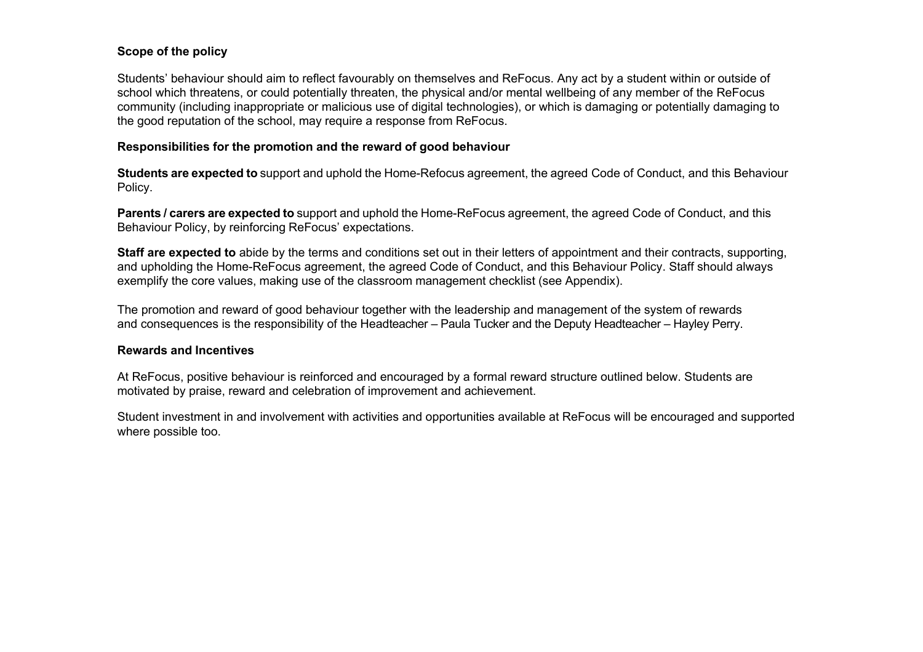## **Scope of the policy**

Students' behaviour should aim to reflect favourably on themselves and ReFocus. Any act by a student within or outside of school which threatens, or could potentially threaten, the physical and/or mental wellbeing of any member of the ReFocus community (including inappropriate or malicious use of digital technologies), or which is damaging or potentially damaging to the good reputation of the school, may require a response from ReFocus.

#### **Responsibilities for the promotion and the reward of good behaviour**

**Students are expected to** support and uphold the Home-Refocus agreement, the agreed Code of Conduct, and this Behaviour Policy.

**Parents / carers are expected to** support and uphold the Home-ReFocus agreement, the agreed Code of Conduct, and this Behaviour Policy, by reinforcing ReFocus' expectations.

**Staff are expected to** abide by the terms and conditions set out in their letters of appointment and their contracts, supporting, and upholding the Home-ReFocus agreement, the agreed Code of Conduct, and this Behaviour Policy. Staff should always exemplify the core values, making use of the classroom management checklist (see Appendix).

The promotion and reward of good behaviour together with the leadership and management of the system of rewards and consequences is the responsibility of the Headteacher – Paula Tucker and the Deputy Headteacher – Hayley Perry.

#### **Rewards and Incentives**

At ReFocus, positive behaviour is reinforced and encouraged by a formal reward structure outlined below. Students are motivated by praise, reward and celebration of improvement and achievement.

Student investment in and involvement with activities and opportunities available at ReFocus will be encouraged and supported where possible too.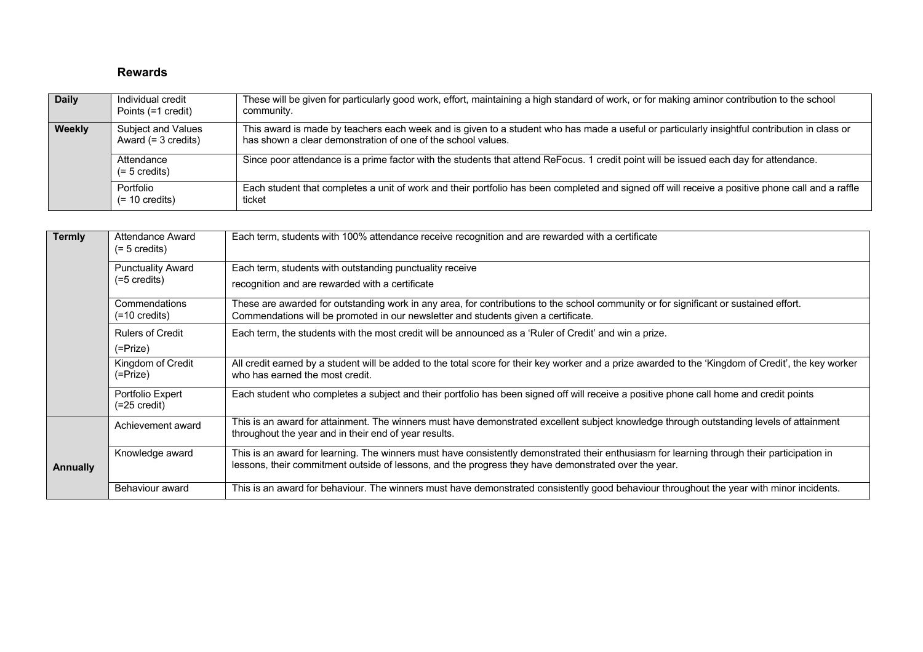# **Rewards**

| <b>Daily</b>  | Individual credit<br>Points (=1 credit)             | These will be given for particularly good work, effort, maintaining a high standard of work, or for making aminor contribution to the school<br>community.                                                   |
|---------------|-----------------------------------------------------|--------------------------------------------------------------------------------------------------------------------------------------------------------------------------------------------------------------|
| <b>Weekly</b> | Subject and Values<br>Award $(= 3 \text{ credits})$ | This award is made by teachers each week and is given to a student who has made a useful or particularly insightful contribution in class or<br>has shown a clear demonstration of one of the school values. |
|               | Attendance<br>$(= 5 \text{ credits})$               | Since poor attendance is a prime factor with the students that attend ReFocus. 1 credit point will be issued each day for attendance.                                                                        |
|               | Portfolio<br>$(= 10 \text{ credits})$               | Each student that completes a unit of work and their portfolio has been completed and signed off will receive a positive phone call and a raffle<br>ticket                                                   |

| <b>Termly</b><br>Attendance Award<br>$(= 5 \text{ credits})$ |                                            | Each term, students with 100% attendance receive recognition and are rewarded with a certificate                                                                                                                                                    |
|--------------------------------------------------------------|--------------------------------------------|-----------------------------------------------------------------------------------------------------------------------------------------------------------------------------------------------------------------------------------------------------|
| <b>Punctuality Award</b><br>$(=5 \text{ credits})$           |                                            | Each term, students with outstanding punctuality receive<br>recognition and are rewarded with a certificate                                                                                                                                         |
|                                                              | Commendations<br>$(=10 \text{ credits})$   | These are awarded for outstanding work in any area, for contributions to the school community or for significant or sustained effort.<br>Commendations will be promoted in our newsletter and students given a certificate.                         |
|                                                              | <b>Rulers of Credit</b><br>(=Prize)        | Each term, the students with the most credit will be announced as a 'Ruler of Credit' and win a prize.                                                                                                                                              |
|                                                              | Kingdom of Credit<br>$( =$ Prize $)$       | All credit earned by a student will be added to the total score for their key worker and a prize awarded to the 'Kingdom of Credit', the key worker<br>who has earned the most credit.                                                              |
|                                                              | Portfolio Expert<br>$(=25 \text{ credit})$ | Each student who completes a subject and their portfolio has been signed off will receive a positive phone call home and credit points                                                                                                              |
|                                                              | Achievement award                          | This is an award for attainment. The winners must have demonstrated excellent subject knowledge through outstanding levels of attainment<br>throughout the year and in their end of year results.                                                   |
| <b>Annually</b>                                              | Knowledge award                            | This is an award for learning. The winners must have consistently demonstrated their enthusiasm for learning through their participation in<br>lessons, their commitment outside of lessons, and the progress they have demonstrated over the year. |
|                                                              | Behaviour award                            | This is an award for behaviour. The winners must have demonstrated consistently good behaviour throughout the year with minor incidents.                                                                                                            |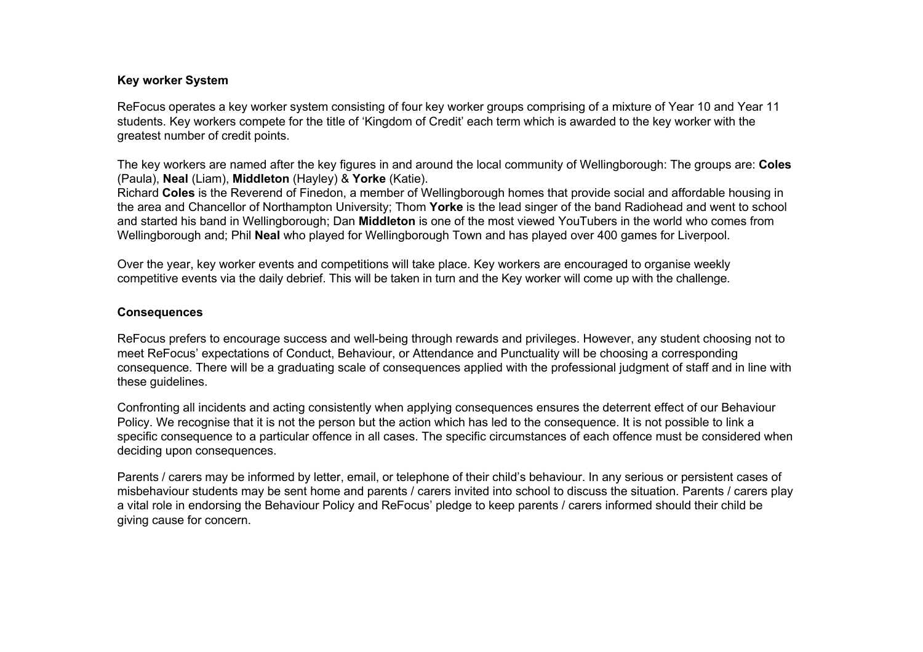#### **Key worker System**

ReFocus operates a key worker system consisting of four key worker groups comprising of a mixture of Year 10 and Year 11 students. Key workers compete for the title of 'Kingdom of Credit' each term which is awarded to the key worker with the greatest number of credit points.

The key workers are named after the key figures in and around the local community of Wellingborough: The groups are: **Coles** (Paula), **Neal** (Liam), **Middleton** (Hayley) & **Yorke** (Katie).

Richard **Coles** is the Reverend of Finedon, a member of Wellingborough homes that provide social and affordable housing in the area and Chancellor of Northampton University; Thom **Yorke** is the lead singer of the band Radiohead and went to school and started his band in Wellingborough; Dan **Middleton** is one of the most viewed YouTubers in the world who comes from Wellingborough and; Phil **Neal** who played for Wellingborough Town and has played over 400 games for Liverpool.

Over the year, key worker events and competitions will take place. Key workers are encouraged to organise weekly competitive events via the daily debrief. This will be taken in turn and the Key worker will come up with the challenge.

### **Consequences**

ReFocus prefers to encourage success and well-being through rewards and privileges. However, any student choosing not to meet ReFocus' expectations of Conduct, Behaviour, or Attendance and Punctuality will be choosing a corresponding consequence. There will be a graduating scale of consequences applied with the professional judgment of staff and in line with these guidelines.

Confronting all incidents and acting consistently when applying consequences ensures the deterrent effect of our Behaviour Policy. We recognise that it is not the person but the action which has led to the consequence. It is not possible to link a specific consequence to a particular offence in all cases. The specific circumstances of each offence must be considered when deciding upon consequences.

Parents / carers may be informed by letter, email, or telephone of their child's behaviour. In any serious or persistent cases of misbehaviour students may be sent home and parents / carers invited into school to discuss the situation. Parents / carers play a vital role in endorsing the Behaviour Policy and ReFocus' pledge to keep parents / carers informed should their child be giving cause for concern.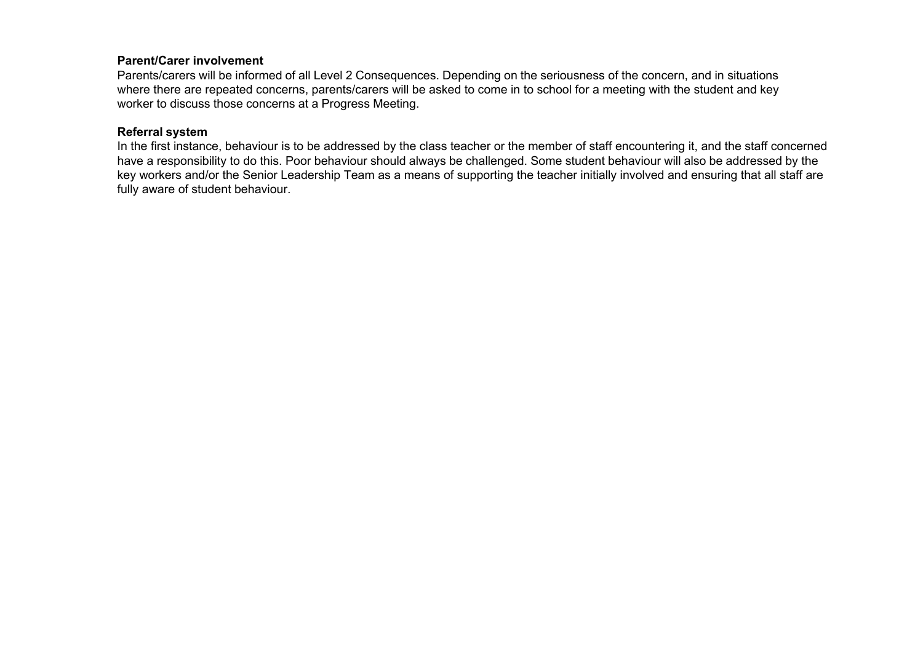### **Parent/Carer involvement**

Parents/carers will be informed of all Level 2 Consequences. Depending on the seriousness of the concern, and in situations where there are repeated concerns, parents/carers will be asked to come in to school for a meeting with the student and key worker to discuss those concerns at a Progress Meeting.

## **Referral system**

In the first instance, behaviour is to be addressed by the class teacher or the member of staff encountering it, and the staff concerned have a responsibility to do this. Poor behaviour should always be challenged. Some student behaviour will also be addressed by the key workers and/or the Senior Leadership Team as a means of supporting the teacher initially involved and ensuring that all staff are fully aware of student behaviour.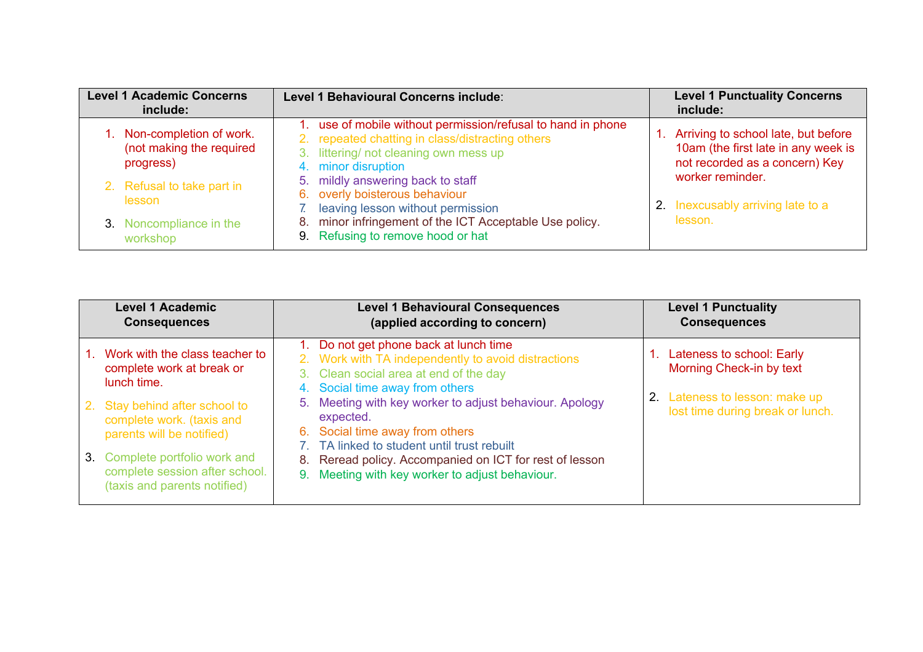| <b>Level 1 Academic Concerns</b><br>include:                        | Level 1 Behavioural Concerns include:                                                                                                                                             | <b>Level 1 Punctuality Concerns</b><br>include:                                                              |
|---------------------------------------------------------------------|-----------------------------------------------------------------------------------------------------------------------------------------------------------------------------------|--------------------------------------------------------------------------------------------------------------|
| 1. Non-completion of work.<br>(not making the required<br>progress) | use of mobile without permission/refusal to hand in phone<br>2. repeated chatting in class/distracting others<br>littering/ not cleaning own mess up<br>3.<br>4. minor disruption | Arriving to school late, but before<br>10am (the first late in any week is<br>not recorded as a concern) Key |
| 2. Refusal to take part in<br>lesson                                | 5. mildly answering back to staff<br>6. overly boisterous behaviour<br>leaving lesson without permission                                                                          | worker reminder.<br>2. Inexcusably arriving late to a                                                        |
| 3. Noncompliance in the<br>workshop                                 | minor infringement of the ICT Acceptable Use policy.<br>8.<br>9. Refusing to remove hood or hat                                                                                   | lesson.                                                                                                      |

|    | <b>Level 1 Academic</b><br><b>Consequences</b>                                                   | <b>Level 1 Behavioural Consequences</b><br>(applied according to concern)                                                                                                                                                                                            | <b>Level 1 Punctuality</b><br><b>Consequences</b>                  |
|----|--------------------------------------------------------------------------------------------------|----------------------------------------------------------------------------------------------------------------------------------------------------------------------------------------------------------------------------------------------------------------------|--------------------------------------------------------------------|
|    | Work with the class teacher to<br>complete work at break or<br>lunch time.                       | 1. Do not get phone back at lunch time<br>2. Work with TA independently to avoid distractions<br>3. Clean social area at end of the day<br>4. Social time away from others                                                                                           | Lateness to school: Early<br>Morning Check-in by text              |
| 2. | Stay behind after school to<br>complete work. (taxis and<br>parents will be notified)            | 5. Meeting with key worker to adjust behaviour. Apology<br>expected.<br>6. Social time away from others<br>7. TA linked to student until trust rebuilt<br>8. Reread policy. Accompanied on ICT for rest of lesson<br>9. Meeting with key worker to adjust behaviour. | 2. Lateness to lesson: make up<br>lost time during break or lunch. |
|    | 3. Complete portfolio work and<br>complete session after school.<br>(taxis and parents notified) |                                                                                                                                                                                                                                                                      |                                                                    |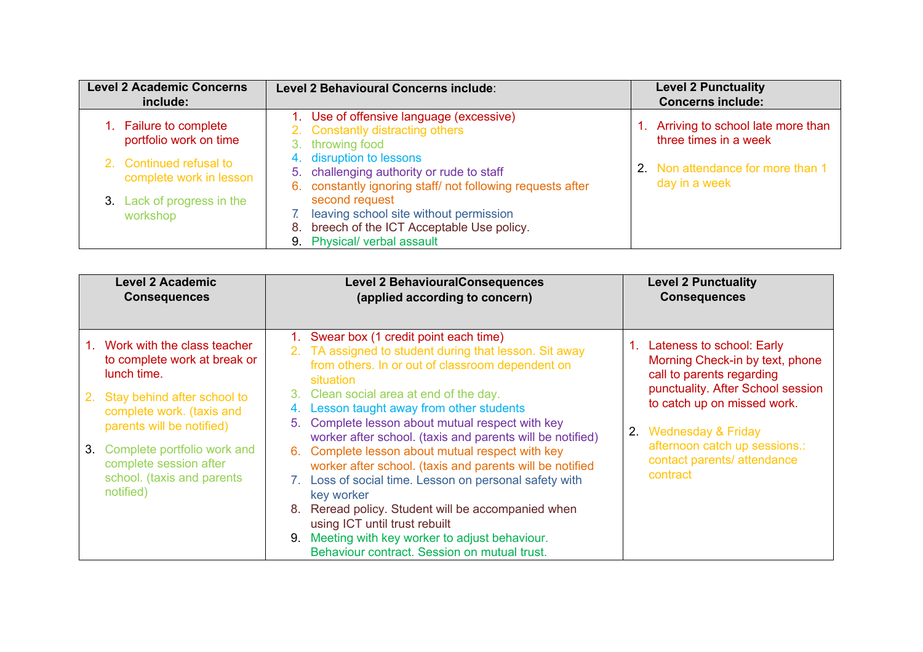| <b>Level 2 Academic Concerns</b><br>include:       | Level 2 Behavioural Concerns include:                                                                                                     | <b>Level 2 Punctuality</b><br><b>Concerns include:</b>     |
|----------------------------------------------------|-------------------------------------------------------------------------------------------------------------------------------------------|------------------------------------------------------------|
| Failure to complete<br>portfolio work on time      | Use of offensive language (excessive)<br>2. Constantly distracting others<br>3. throwing food                                             | Arriving to school late more than<br>three times in a week |
| 2. Continued refusal to<br>complete work in lesson | disruption to lessons<br>5. challenging authority or rude to staff<br>constantly ignoring staff/ not following requests after<br>6.       | 2. Non attendance for more than 1<br>day in a week         |
| 3. Lack of progress in the<br>workshop             | second request<br>leaving school site without permission<br>breech of the ICT Acceptable Use policy.<br>8.<br>9. Physical/ verbal assault |                                                            |

|    | <b>Level 2 Academic</b><br><b>Consequences</b>                                                   | <b>Level 2 BehaviouralConsequences</b><br>(applied according to concern)                                                                                                                                                                                                                                                                                                       | <b>Level 2 Punctuality</b><br><b>Consequences</b>                                            |
|----|--------------------------------------------------------------------------------------------------|--------------------------------------------------------------------------------------------------------------------------------------------------------------------------------------------------------------------------------------------------------------------------------------------------------------------------------------------------------------------------------|----------------------------------------------------------------------------------------------|
|    | 1. Work with the class teacher<br>to complete work at break or<br>lunch time.                    | 1. Swear box (1 credit point each time)<br>2. TA assigned to student during that lesson. Sit away<br>from others. In or out of classroom dependent on<br>situation                                                                                                                                                                                                             | 1. Lateness to school: Early<br>Morning Check-in by text, phone<br>call to parents regarding |
| 2. | Stay behind after school to<br>complete work. (taxis and<br>parents will be notified)            | 3. Clean social area at end of the day.<br>Lesson taught away from other students<br>4.<br>5. Complete lesson about mutual respect with key<br>worker after school. (taxis and parents will be notified)                                                                                                                                                                       | punctuality. After School session<br>to catch up on missed work.<br>2. Wednesday & Friday    |
| 3. | Complete portfolio work and<br>complete session after<br>school. (taxis and parents<br>notified) | 6. Complete lesson about mutual respect with key<br>worker after school. (taxis and parents will be notified<br>7. Loss of social time. Lesson on personal safety with<br>key worker<br>8. Reread policy. Student will be accompanied when<br>using ICT until trust rebuilt<br>9. Meeting with key worker to adjust behaviour.<br>Behaviour contract. Session on mutual trust. | afternoon catch up sessions.:<br>contact parents/ attendance<br>contract                     |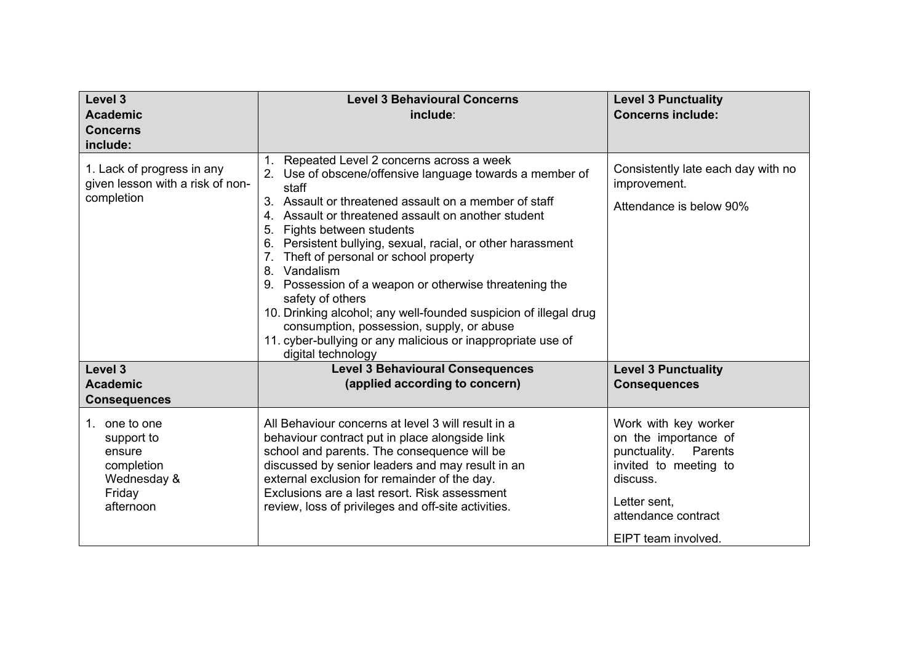| Level 3<br><b>Academic</b><br><b>Concerns</b><br>include:                                             | <b>Level 3 Behavioural Concerns</b><br>include:                                                                                                                                                                                                                                                                                                                                                                                                                                                                                                                                                                                                                             | <b>Level 3 Punctuality</b><br><b>Concerns include:</b>                                                                                                                     |
|-------------------------------------------------------------------------------------------------------|-----------------------------------------------------------------------------------------------------------------------------------------------------------------------------------------------------------------------------------------------------------------------------------------------------------------------------------------------------------------------------------------------------------------------------------------------------------------------------------------------------------------------------------------------------------------------------------------------------------------------------------------------------------------------------|----------------------------------------------------------------------------------------------------------------------------------------------------------------------------|
| 1. Lack of progress in any<br>given lesson with a risk of non-<br>completion                          | 1. Repeated Level 2 concerns across a week<br>2. Use of obscene/offensive language towards a member of<br>staff<br>3. Assault or threatened assault on a member of staff<br>4. Assault or threatened assault on another student<br>5. Fights between students<br>6. Persistent bullying, sexual, racial, or other harassment<br>7. Theft of personal or school property<br>8. Vandalism<br>9. Possession of a weapon or otherwise threatening the<br>safety of others<br>10. Drinking alcohol; any well-founded suspicion of illegal drug<br>consumption, possession, supply, or abuse<br>11. cyber-bullying or any malicious or inappropriate use of<br>digital technology | Consistently late each day with no<br>improvement.<br>Attendance is below 90%                                                                                              |
| Level 3<br><b>Academic</b><br><b>Consequences</b>                                                     | <b>Level 3 Behavioural Consequences</b><br>(applied according to concern)                                                                                                                                                                                                                                                                                                                                                                                                                                                                                                                                                                                                   | <b>Level 3 Punctuality</b><br><b>Consequences</b>                                                                                                                          |
| one to one<br>$1_{\cdot}$<br>support to<br>ensure<br>completion<br>Wednesday &<br>Friday<br>afternoon | All Behaviour concerns at level 3 will result in a<br>behaviour contract put in place alongside link<br>school and parents. The consequence will be<br>discussed by senior leaders and may result in an<br>external exclusion for remainder of the day.<br>Exclusions are a last resort. Risk assessment<br>review, loss of privileges and off-site activities.                                                                                                                                                                                                                                                                                                             | Work with key worker<br>on the importance of<br>punctuality.<br>Parents<br>invited to meeting to<br>discuss.<br>Letter sent,<br>attendance contract<br>EIPT team involved. |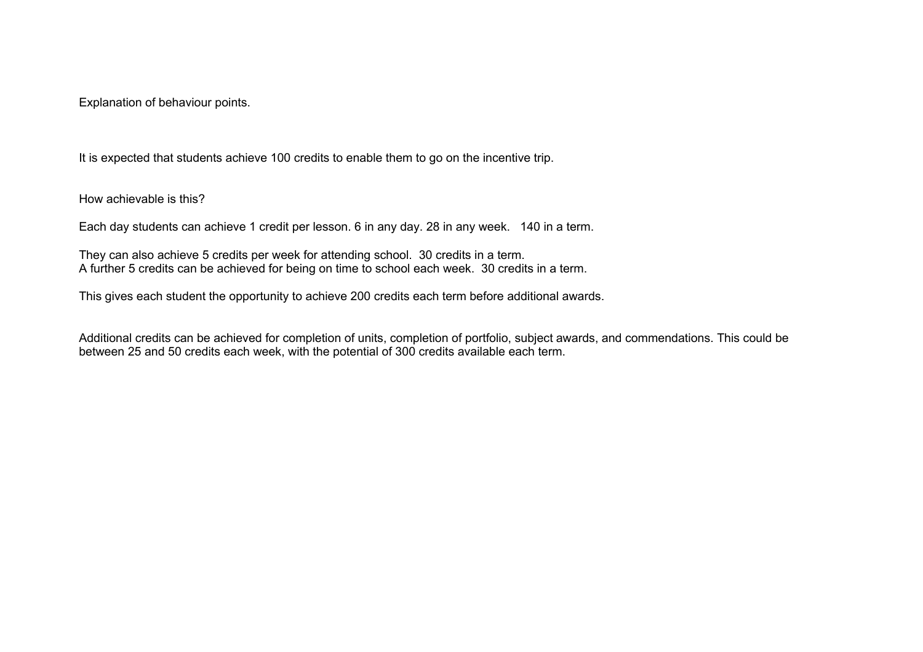Explanation of behaviour points.

It is expected that students achieve 100 credits to enable them to go on the incentive trip.

How achievable is this?

Each day students can achieve 1 credit per lesson. 6 in any day. 28 in any week. 140 in a term.

They can also achieve 5 credits per week for attending school. 30 credits in a term. A further 5 credits can be achieved for being on time to school each week. 30 credits in a term.

This gives each student the opportunity to achieve 200 credits each term before additional awards.

Additional credits can be achieved for completion of units, completion of portfolio, subject awards, and commendations. This could be between 25 and 50 credits each week, with the potential of 300 credits available each term.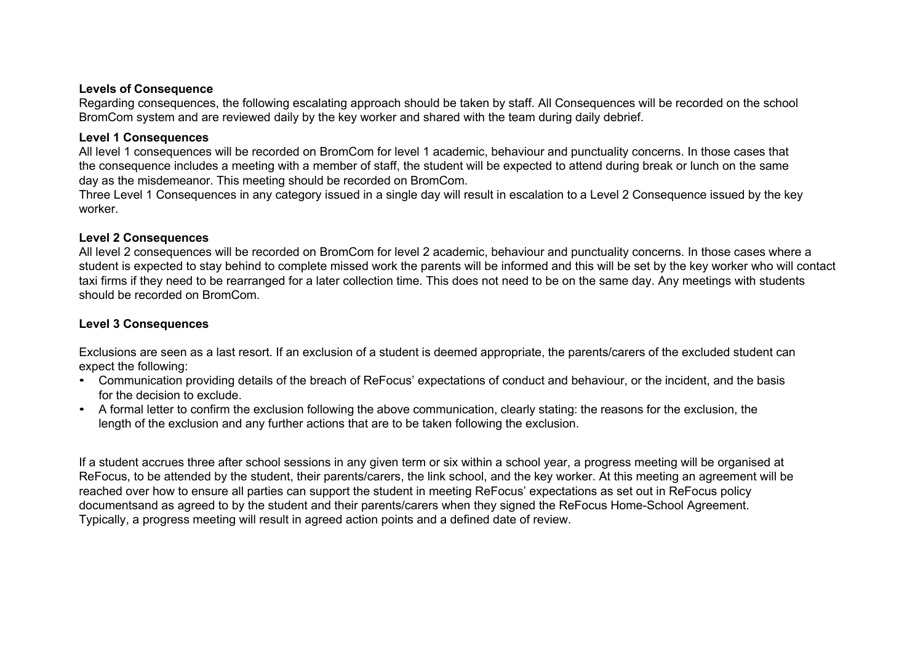#### **Levels of Consequence**

Regarding consequences, the following escalating approach should be taken by staff. All Consequences will be recorded on the school BromCom system and are reviewed daily by the key worker and shared with the team during daily debrief.

#### **Level 1 Consequences**

All level 1 consequences will be recorded on BromCom for level 1 academic, behaviour and punctuality concerns. In those cases that the consequence includes a meeting with a member of staff, the student will be expected to attend during break or lunch on the same day as the misdemeanor. This meeting should be recorded on BromCom.

Three Level 1 Consequences in any category issued in a single day will result in escalation to a Level 2 Consequence issued by the key worker.

### **Level 2 Consequences**

All level 2 consequences will be recorded on BromCom for level 2 academic, behaviour and punctuality concerns. In those cases where a student is expected to stay behind to complete missed work the parents will be informed and this will be set by the key worker who will contact taxi firms if they need to be rearranged for a later collection time. This does not need to be on the same day. Any meetings with students should be recorded on BromCom.

#### **Level 3 Consequences**

Exclusions are seen as a last resort. If an exclusion of a student is deemed appropriate, the parents/carers of the excluded student can expect the following:

- Communication providing details of the breach of ReFocus' expectations of conduct and behaviour, or the incident, and the basis for the decision to exclude.
- A formal letter to confirm the exclusion following the above communication, clearly stating: the reasons for the exclusion, the length of the exclusion and any further actions that are to be taken following the exclusion.

If a student accrues three after school sessions in any given term or six within a school year, a progress meeting will be organised at ReFocus, to be attended by the student, their parents/carers, the link school, and the key worker. At this meeting an agreement will be reached over how to ensure all parties can support the student in meeting ReFocus' expectations as set out in ReFocus policy documentsand as agreed to by the student and their parents/carers when they signed the ReFocus Home-School Agreement. Typically, a progress meeting will result in agreed action points and a defined date of review.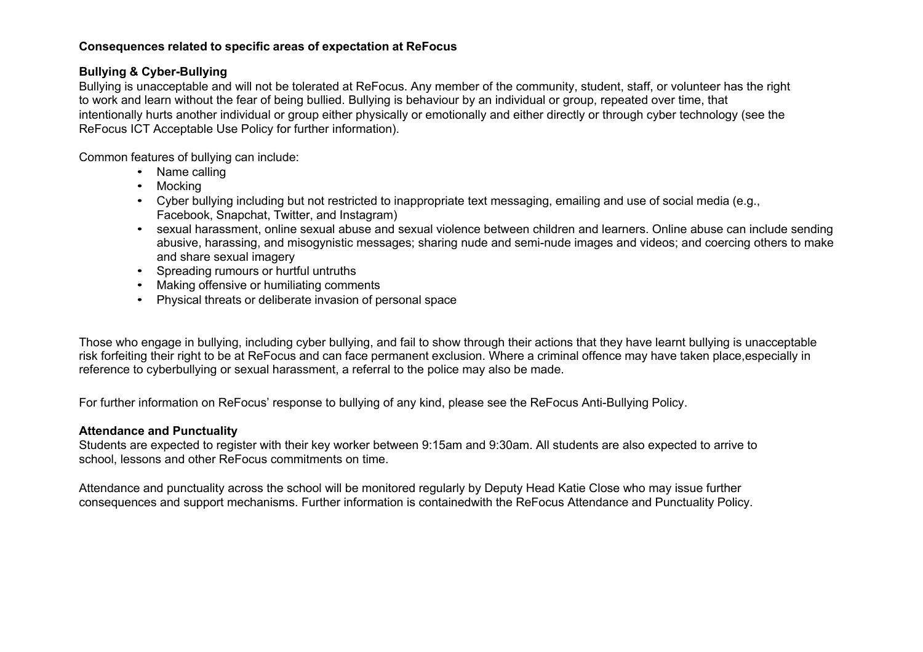## **Consequences related to specific areas of expectation at ReFocus**

## **Bullying & Cyber-Bullying**

Bullying is unacceptable and will not be tolerated at ReFocus. Any member of the community, student, staff, or volunteer has the right to work and learn without the fear of being bullied. Bullying is behaviour by an individual or group, repeated over time, that intentionally hurts another individual or group either physically or emotionally and either directly or through cyber technology (see the ReFocus ICT Acceptable Use Policy for further information).

Common features of bullying can include:

- Name calling
- Mocking
- Cyber bullying including but not restricted to inappropriate text messaging, emailing and use of social media (e.g., Facebook, Snapchat, Twitter, and Instagram)
- sexual harassment, online sexual abuse and sexual violence between children and learners. Online abuse can include sending abusive, harassing, and misogynistic messages; sharing nude and semi-nude images and videos; and coercing others to make and share sexual imagery
- Spreading rumours or hurtful untruths
- Making offensive or humiliating comments
- Physical threats or deliberate invasion of personal space

Those who engage in bullying, including cyber bullying, and fail to show through their actions that they have learnt bullying is unacceptable risk forfeiting their right to be at ReFocus and can face permanent exclusion. Where a criminal offence may have taken place,especially in reference to cyberbullying or sexual harassment, a referral to the police may also be made.

For further information on ReFocus' response to bullying of any kind, please see the ReFocus Anti-Bullying Policy.

### **Attendance and Punctuality**

Students are expected to register with their key worker between 9:15am and 9:30am. All students are also expected to arrive to school, lessons and other ReFocus commitments on time.

Attendance and punctuality across the school will be monitored regularly by Deputy Head Katie Close who may issue further consequences and support mechanisms. Further information is containedwith the ReFocus Attendance and Punctuality Policy.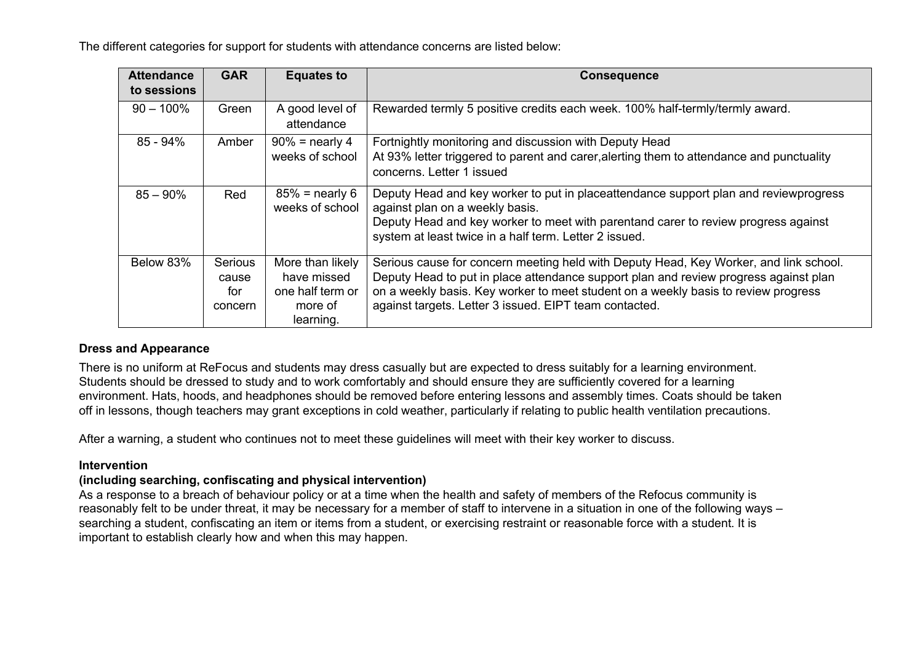The different categories for support for students with attendance concerns are listed below:

| <b>Attendance</b> | <b>GAR</b>                         | <b>Equates to</b>                                                           | <b>Consequence</b>                                                                                                                                                                                                                                                                                                            |
|-------------------|------------------------------------|-----------------------------------------------------------------------------|-------------------------------------------------------------------------------------------------------------------------------------------------------------------------------------------------------------------------------------------------------------------------------------------------------------------------------|
| to sessions       |                                    |                                                                             |                                                                                                                                                                                                                                                                                                                               |
| $90 - 100\%$      | Green                              | A good level of<br>attendance                                               | Rewarded termly 5 positive credits each week. 100% half-termly/termly award.                                                                                                                                                                                                                                                  |
| $85 - 94\%$       | Amber                              | $90\%$ = nearly 4<br>weeks of school                                        | Fortnightly monitoring and discussion with Deputy Head<br>At 93% letter triggered to parent and carer, alerting them to attendance and punctuality<br>concerns. Letter 1 issued                                                                                                                                               |
| $85 - 90\%$       | Red                                | $85\%$ = nearly 6<br>weeks of school                                        | Deputy Head and key worker to put in placeattendance support plan and reviewprogress<br>against plan on a weekly basis.<br>Deputy Head and key worker to meet with parentand carer to review progress against<br>system at least twice in a half term. Letter 2 issued.                                                       |
| Below 83%         | Serious<br>cause<br>for<br>concern | More than likely<br>have missed<br>one half term or<br>more of<br>learning. | Serious cause for concern meeting held with Deputy Head, Key Worker, and link school.<br>Deputy Head to put in place attendance support plan and review progress against plan<br>on a weekly basis. Key worker to meet student on a weekly basis to review progress<br>against targets. Letter 3 issued. EIPT team contacted. |

# **Dress and Appearance**

There is no uniform at ReFocus and students may dress casually but are expected to dress suitably for a learning environment. Students should be dressed to study and to work comfortably and should ensure they are sufficiently covered for a learning environment. Hats, hoods, and headphones should be removed before entering lessons and assembly times. Coats should be taken off in lessons, though teachers may grant exceptions in cold weather, particularly if relating to public health ventilation precautions.

After a warning, a student who continues not to meet these guidelines will meet with their key worker to discuss.

# **Intervention**

# **(including searching, confiscating and physical intervention)**

As a response to a breach of behaviour policy or at a time when the health and safety of members of the Refocus community is reasonably felt to be under threat, it may be necessary for a member of staff to intervene in a situation in one of the following ways – searching a student, confiscating an item or items from a student, or exercising restraint or reasonable force with a student. It is important to establish clearly how and when this may happen.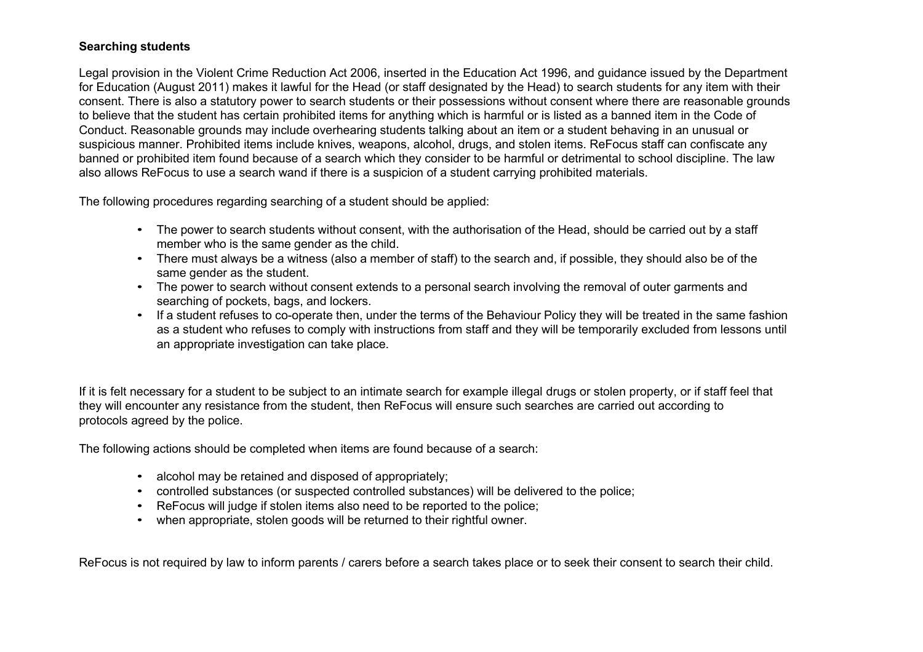## **Searching students**

Legal provision in the Violent Crime Reduction Act 2006, inserted in the Education Act 1996, and guidance issued by the Department for Education (August 2011) makes it lawful for the Head (or staff designated by the Head) to search students for any item with their consent. There is also a statutory power to search students or their possessions without consent where there are reasonable grounds to believe that the student has certain prohibited items for anything which is harmful or is listed as a banned item in the Code of Conduct. Reasonable grounds may include overhearing students talking about an item or a student behaving in an unusual or suspicious manner. Prohibited items include knives, weapons, alcohol, drugs, and stolen items. ReFocus staff can confiscate any banned or prohibited item found because of a search which they consider to be harmful or detrimental to school discipline. The law also allows ReFocus to use a search wand if there is a suspicion of a student carrying prohibited materials.

The following procedures regarding searching of a student should be applied:

- The power to search students without consent, with the authorisation of the Head, should be carried out by a staff member who is the same gender as the child.
- There must always be a witness (also a member of staff) to the search and, if possible, they should also be of the same gender as the student.
- The power to search without consent extends to a personal search involving the removal of outer garments and searching of pockets, bags, and lockers.
- If a student refuses to co-operate then, under the terms of the Behaviour Policy they will be treated in the same fashion as a student who refuses to comply with instructions from staff and they will be temporarily excluded from lessons until an appropriate investigation can take place.

If it is felt necessary for a student to be subject to an intimate search for example illegal drugs or stolen property, or if staff feel that they will encounter any resistance from the student, then ReFocus will ensure such searches are carried out according to protocols agreed by the police.

The following actions should be completed when items are found because of a search:

- alcohol may be retained and disposed of appropriately;
- controlled substances (or suspected controlled substances) will be delivered to the police;
- ReFocus will judge if stolen items also need to be reported to the police;
- when appropriate, stolen goods will be returned to their rightful owner.

ReFocus is not required by law to inform parents / carers before a search takes place or to seek their consent to search their child.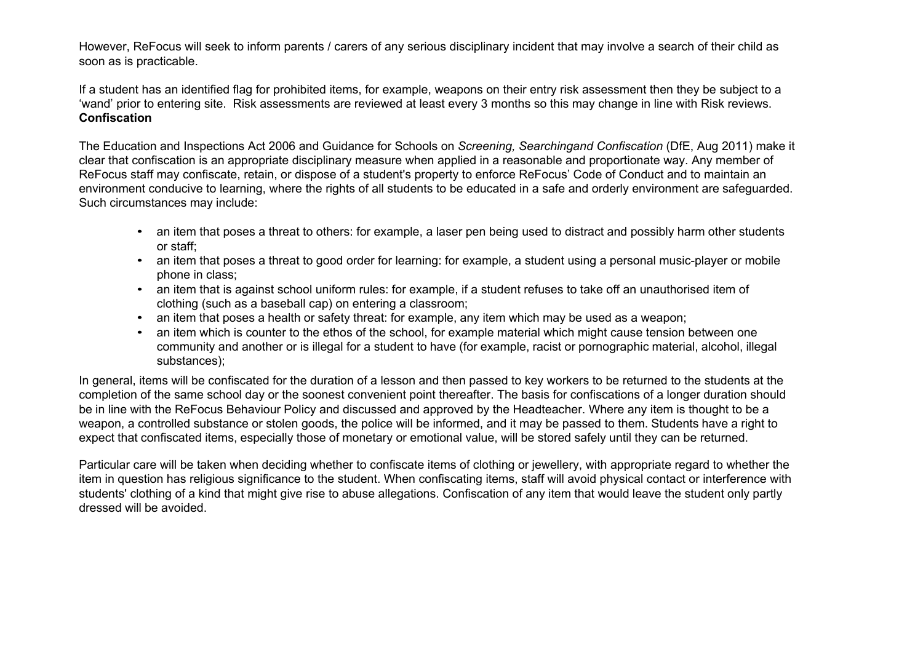However, ReFocus will seek to inform parents / carers of any serious disciplinary incident that may involve a search of their child as soon as is practicable.

If a student has an identified flag for prohibited items, for example, weapons on their entry risk assessment then they be subject to a 'wand' prior to entering site. Risk assessments are reviewed at least every 3 months so this may change in line with Risk reviews. **Confiscation**

The Education and Inspections Act 2006 and Guidance for Schools on *Screening, Searchingand Confiscation* (DfE, Aug 2011) make it clear that confiscation is an appropriate disciplinary measure when applied in a reasonable and proportionate way. Any member of ReFocus staff may confiscate, retain, or dispose of a student's property to enforce ReFocus' Code of Conduct and to maintain an environment conducive to learning, where the rights of all students to be educated in a safe and orderly environment are safeguarded. Such circumstances may include:

- an item that poses a threat to others: for example, a laser pen being used to distract and possibly harm other students or staff;
- an item that poses a threat to good order for learning: for example, a student using a personal music-player or mobile phone in class;
- an item that is against school uniform rules: for example, if a student refuses to take off an unauthorised item of clothing (such as a baseball cap) on entering a classroom;
- an item that poses a health or safety threat: for example, any item which may be used as a weapon;
- an item which is counter to the ethos of the school, for example material which might cause tension between one community and another or is illegal for a student to have (for example, racist or pornographic material, alcohol, illegal substances);

In general, items will be confiscated for the duration of a lesson and then passed to key workers to be returned to the students at the completion of the same school day or the soonest convenient point thereafter. The basis for confiscations of a longer duration should be in line with the ReFocus Behaviour Policy and discussed and approved by the Headteacher. Where any item is thought to be a weapon, a controlled substance or stolen goods, the police will be informed, and it may be passed to them. Students have a right to expect that confiscated items, especially those of monetary or emotional value, will be stored safely until they can be returned.

Particular care will be taken when deciding whether to confiscate items of clothing or jewellery, with appropriate regard to whether the item in question has religious significance to the student. When confiscating items, staff will avoid physical contact or interference with students' clothing of a kind that might give rise to abuse allegations. Confiscation of any item that would leave the student only partly dressed will be avoided.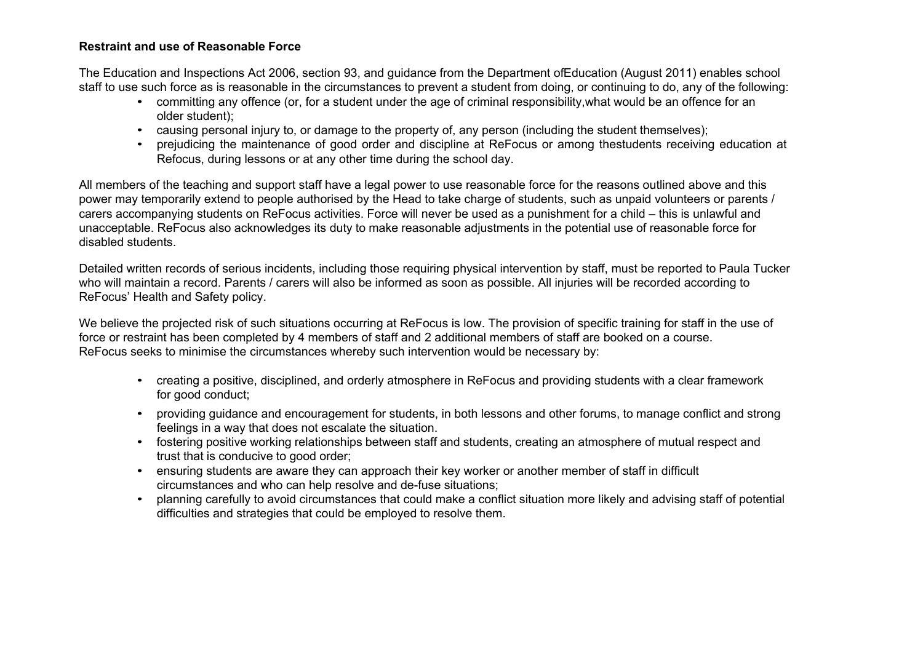## **Restraint and use of Reasonable Force**

The Education and Inspections Act 2006, section 93, and guidance from the Department ofEducation (August 2011) enables school staff to use such force as is reasonable in the circumstances to prevent a student from doing, or continuing to do, any of the following:

- committing any offence (or, for a student under the age of criminal responsibility,what would be an offence for an older student);
- causing personal injury to, or damage to the property of, any person (including the student themselves);
- prejudicing the maintenance of good order and discipline at ReFocus or among thestudents receiving education at Refocus, during lessons or at any other time during the school day.

All members of the teaching and support staff have a legal power to use reasonable force for the reasons outlined above and this power may temporarily extend to people authorised by the Head to take charge of students, such as unpaid volunteers or parents / carers accompanying students on ReFocus activities. Force will never be used as a punishment for a child – this is unlawful and unacceptable. ReFocus also acknowledges its duty to make reasonable adjustments in the potential use of reasonable force for disabled students.

Detailed written records of serious incidents, including those requiring physical intervention by staff, must be reported to Paula Tucker who will maintain a record. Parents / carers will also be informed as soon as possible. All injuries will be recorded according to ReFocus' Health and Safety policy.

We believe the projected risk of such situations occurring at ReFocus is low. The provision of specific training for staff in the use of force or restraint has been completed by 4 members of staff and 2 additional members of staff are booked on a course. ReFocus seeks to minimise the circumstances whereby such intervention would be necessary by:

- creating a positive, disciplined, and orderly atmosphere in ReFocus and providing students with a clear framework for good conduct;
- providing guidance and encouragement for students, in both lessons and other forums, to manage conflict and strong feelings in a way that does not escalate the situation.
- fostering positive working relationships between staff and students, creating an atmosphere of mutual respect and trust that is conducive to good order;
- ensuring students are aware they can approach their key worker or another member of staff in difficult circumstances and who can help resolve and de-fuse situations;
- planning carefully to avoid circumstances that could make a conflict situation more likely and advising staff of potential difficulties and strategies that could be employed to resolve them.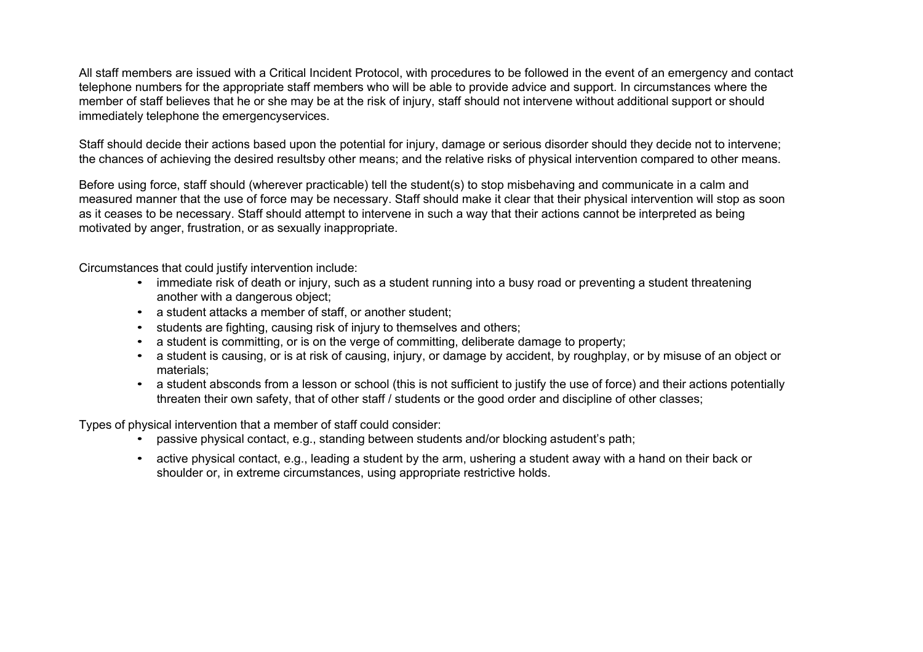All staff members are issued with a Critical Incident Protocol, with procedures to be followed in the event of an emergency and contact telephone numbers for the appropriate staff members who will be able to provide advice and support. In circumstances where the member of staff believes that he or she may be at the risk of injury, staff should not intervene without additional support or should immediately telephone the emergencyservices.

Staff should decide their actions based upon the potential for injury, damage or serious disorder should they decide not to intervene; the chances of achieving the desired resultsby other means; and the relative risks of physical intervention compared to other means.

Before using force, staff should (wherever practicable) tell the student(s) to stop misbehaving and communicate in a calm and measured manner that the use of force may be necessary. Staff should make it clear that their physical intervention will stop as soon as it ceases to be necessary. Staff should attempt to intervene in such a way that their actions cannot be interpreted as being motivated by anger, frustration, or as sexually inappropriate.

Circumstances that could justify intervention include:

- immediate risk of death or injury, such as a student running into a busy road or preventing a student threatening another with a dangerous object;
- a student attacks a member of staff, or another student:
- students are fighting, causing risk of injury to themselves and others;
- a student is committing, or is on the verge of committing, deliberate damage to property;
- a student is causing, or is at risk of causing, injury, or damage by accident, by roughplay, or by misuse of an object or materials;
- a student absconds from a lesson or school (this is not sufficient to justify the use of force) and their actions potentially threaten their own safety, that of other staff / students or the good order and discipline of other classes;

Types of physical intervention that a member of staff could consider:

- passive physical contact, e.g., standing between students and/or blocking astudent's path;
- active physical contact, e.g., leading a student by the arm, ushering a student away with a hand on their back or shoulder or, in extreme circumstances, using appropriate restrictive holds.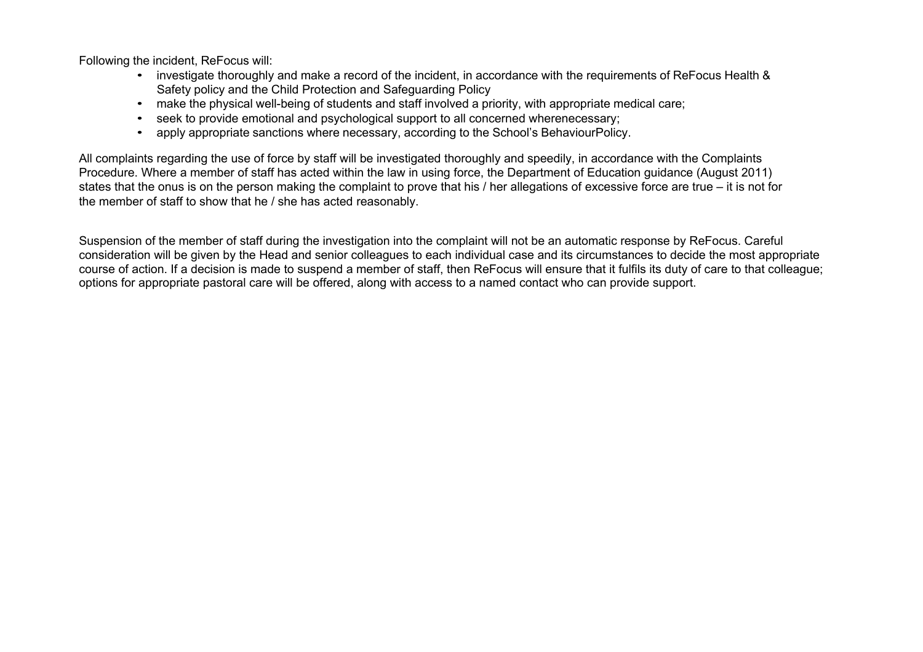Following the incident, ReFocus will:

- investigate thoroughly and make a record of the incident, in accordance with the requirements of ReFocus Health & Safety policy and the Child Protection and Safeguarding Policy
- make the physical well-being of students and staff involved a priority, with appropriate medical care;
- seek to provide emotional and psychological support to all concerned wherenecessary;
- apply appropriate sanctions where necessary, according to the School's BehaviourPolicy.

All complaints regarding the use of force by staff will be investigated thoroughly and speedily, in accordance with the Complaints Procedure. Where a member of staff has acted within the law in using force, the Department of Education guidance (August 2011) states that the onus is on the person making the complaint to prove that his / her allegations of excessive force are true – it is not for the member of staff to show that he / she has acted reasonably.

Suspension of the member of staff during the investigation into the complaint will not be an automatic response by ReFocus. Careful consideration will be given by the Head and senior colleagues to each individual case and its circumstances to decide the most appropriate course of action. If a decision is made to suspend a member of staff, then ReFocus will ensure that it fulfils its duty of care to that colleague; options for appropriate pastoral care will be offered, along with access to a named contact who can provide support.